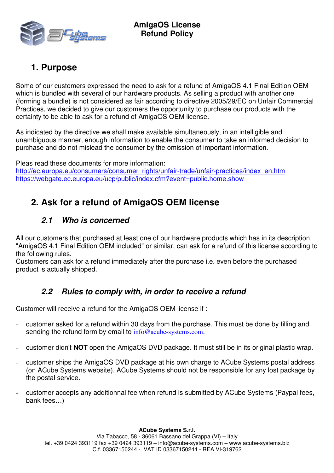

# **1. Purpose**

Some of our customers expressed the need to ask for a refund of AmigaOS 4.1 Final Edition OEM which is bundled with several of our hardware products. As selling a product with another one (forming a bundle) is not considered as fair according to directive 2005/29/EC on Unfair Commercial Practices, we decided to give our customers the opportunity to purchase our products with the certainty to be able to ask for a refund of AmigaOS OEM license.

As indicated by the directive we shall make available simultaneously, in an intelligible and unambiguous manner, enough information to enable the consumer to take an informed decision to purchase and do not mislead the consumer by the omission of important information.

Pleas read these documents for more information: http://ec.europa.eu/consumers/consumer\_rights/unfair-trade/unfair-practices/index\_en.htm https://webgate.ec.europa.eu/ucp/public/index.cfm?event=public.home.show

# **2. Ask for a refund of AmigaOS OEM license**

### **2.1 Who is concerned**

All our customers that purchased at least one of our hardware products which has in its description "AmigaOS 4.1 Final Edition OEM included" or similar, can ask for a refund of this license according to the following rules.

Customers can ask for a refund immediately after the purchase i.e. even before the purchased product is actually shipped.

### **2.2 Rules to comply with, in order to receive a refund**

Customer will receive a refund for the AmigaOS OEM license if :

- customer asked for a refund within 30 days from the purchase. This must be done by filling and sending the refund form by email to info@acube-systems.com.
- customer didn't **NOT** open the AmigaOS DVD package. It must still be in its original plastic wrap.
- customer ships the AmigaOS DVD package at his own charge to ACube Systems postal address (on ACube Systems website). ACube Systems should not be responsible for any lost package by the postal service.
- customer accepts any additionnal fee when refund is submitted by ACube Systems (Paypal fees, bank fees…)